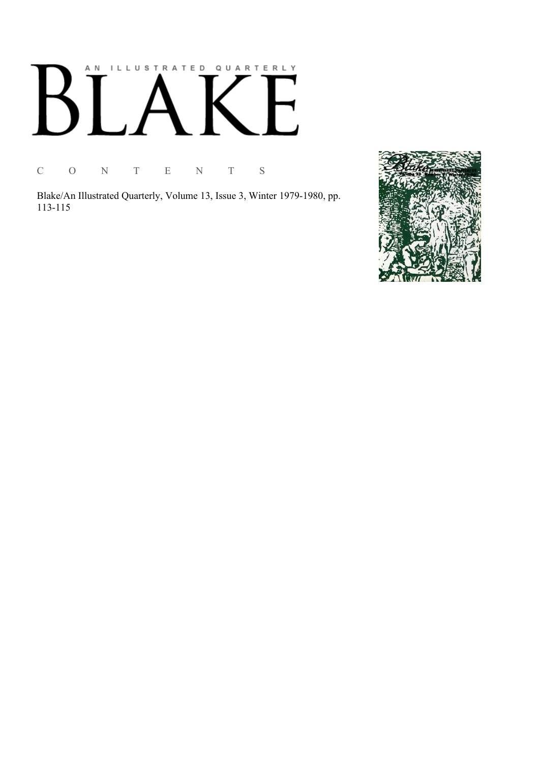# AN ILLUSTRATED QUARTERLY  $\boldsymbol{\mathsf{B}}$  $\mathbb{R}$

C O N T E N T S

Blake/An Illustrated Quarterly, Volume 13, Issue 3, Winter 1979-1980, pp. 113-115

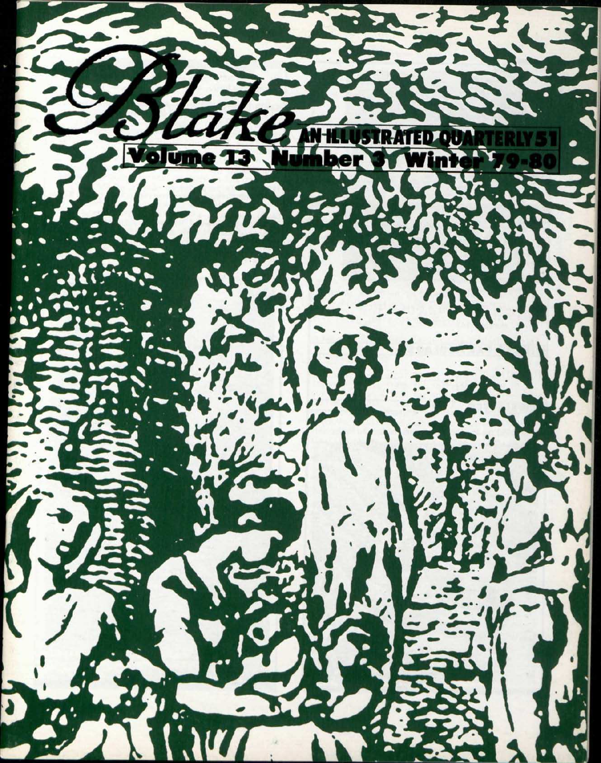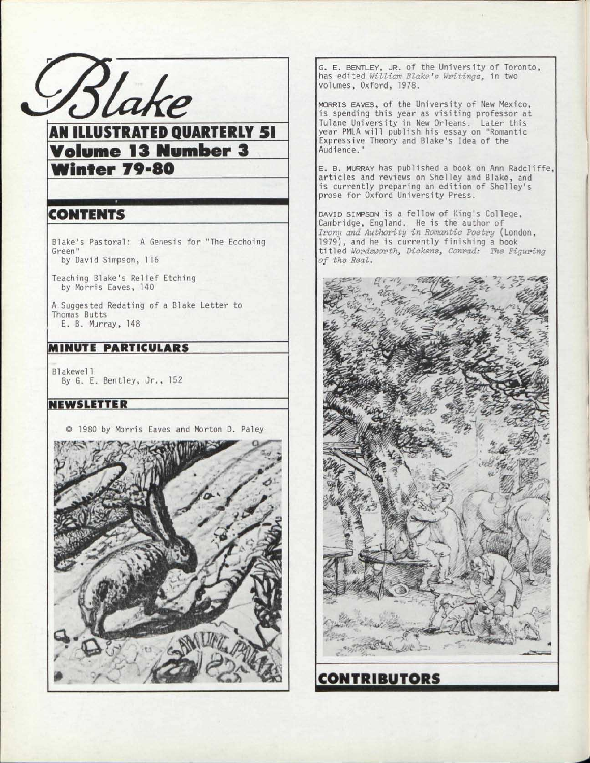

AM ILLUSTRATED QUARTERLY 51 Volume 13 Number 3 Winter 79-80

### CONTENTS

Blake's Pastoral: A Genesis for "The Ecchoing Green" by David Simpson, 116

Teaching Blake's Relief Etching by Morris Eaves, 140

A Suggested Redating of a Blake Letter to Thomas Butts E. B. Murray, 148

#### MINUTE PARTICULARS

Blakewel1 By G. E. Bentley, Jr. , 152

#### NEWSLETTER

© 1980 by Morris Eaves and Morton D. Paley



G. E. BENTLEY, JR. of the University of Toronto, has edited *William Blake's Writings^* in two volumes, Oxford, 1978.

MORRIS EAVES, of the University of New Mexico, is spending this year as visiting professor at Tulane University in New Orleans. Later this year PMLA will publish his essay on "Romantic Expressive Theory and Blake's Idea of the Audience."

E. B. MURRAY has published a book on Ann Radcliffe, articles and reviews on Shelley and Blake, and is currently preparing an edition of Shelley's prose for Oxford University Press.

DAVID SIMPSON is a fellow of King's College, Cambridge, England. He is the author of *Irony and Authority in Romantic Poetry* (London, 1979), and he is currently finishing a book titled *Wordsworth, Dickens, Conrad: The Figuring of the Real.*